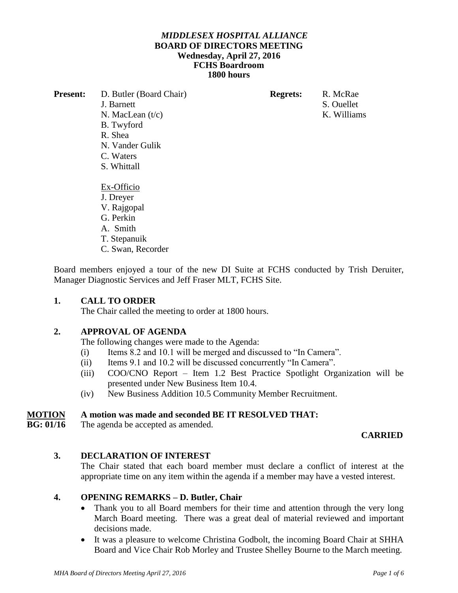#### *MIDDLESEX HOSPITAL ALLIANCE*  **BOARD OF DIRECTORS MEETING Wednesday, April 27, 2016 FCHS Boardroom 1800 hours**

| <b>Present:</b> | D. Butler (Board Chair) | <b>Regrets:</b> | R. McRae    |
|-----------------|-------------------------|-----------------|-------------|
|                 | J. Barnett              |                 | S. Ouellet  |
|                 | N. MacLean $(t/c)$      |                 | K. Williams |
|                 | B. Twyford              |                 |             |
|                 | R. Shea                 |                 |             |
|                 | N. Vander Gulik         |                 |             |
|                 | C. Waters               |                 |             |
|                 | S. Whittall             |                 |             |
|                 | Ex-Officio              |                 |             |
|                 | J. Dreyer               |                 |             |
|                 | V. Rajgopal             |                 |             |
|                 | G. Perkin               |                 |             |
|                 | A. Smith                |                 |             |
|                 | T. Stepanuik            |                 |             |
|                 | C. Swan, Recorder       |                 |             |
|                 |                         |                 |             |

Board members enjoyed a tour of the new DI Suite at FCHS conducted by Trish Deruiter, Manager Diagnostic Services and Jeff Fraser MLT, FCHS Site.

### **1. CALL TO ORDER**

The Chair called the meeting to order at 1800 hours.

# **2. APPROVAL OF AGENDA**

The following changes were made to the Agenda:

- (i) Items 8.2 and 10.1 will be merged and discussed to "In Camera".
- (ii) Items 9.1 and 10.2 will be discussed concurrently "In Camera".
- (iii) COO/CNO Report Item 1.2 Best Practice Spotlight Organization will be presented under New Business Item 10.4.
- (iv) New Business Addition 10.5 Community Member Recruitment.

#### **MOTION A motion was made and seconded BE IT RESOLVED THAT:**

**BG: 01/16** The agenda be accepted as amended.

#### **CARRIED**

#### **3. DECLARATION OF INTEREST**

The Chair stated that each board member must declare a conflict of interest at the appropriate time on any item within the agenda if a member may have a vested interest.

#### **4. OPENING REMARKS – D. Butler, Chair**

- Thank you to all Board members for their time and attention through the very long March Board meeting. There was a great deal of material reviewed and important decisions made.
- It was a pleasure to welcome Christina Godbolt, the incoming Board Chair at SHHA Board and Vice Chair Rob Morley and Trustee Shelley Bourne to the March meeting.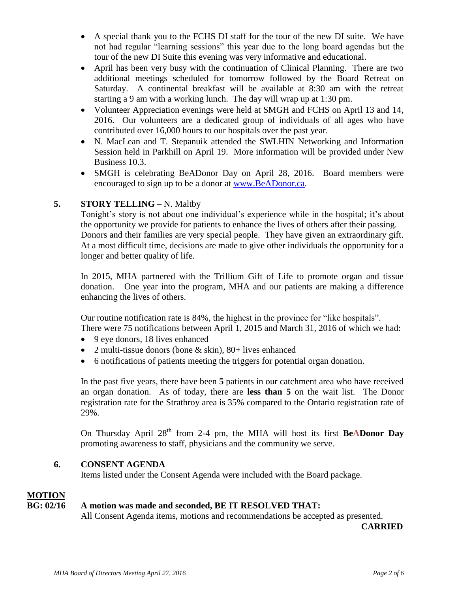- A special thank you to the FCHS DI staff for the tour of the new DI suite. We have not had regular "learning sessions" this year due to the long board agendas but the tour of the new DI Suite this evening was very informative and educational.
- April has been very busy with the continuation of Clinical Planning. There are two additional meetings scheduled for tomorrow followed by the Board Retreat on Saturday. A continental breakfast will be available at 8:30 am with the retreat starting a 9 am with a working lunch. The day will wrap up at 1:30 pm.
- Volunteer Appreciation evenings were held at SMGH and FCHS on April 13 and 14, 2016. Our volunteers are a dedicated group of individuals of all ages who have contributed over 16,000 hours to our hospitals over the past year.
- N. MacLean and T. Stepanuik attended the SWLHIN Networking and Information Session held in Parkhill on April 19. More information will be provided under New Business 10.3.
- SMGH is celebrating BeADonor Day on April 28, 2016. Board members were encouraged to sign up to be a donor at [www.BeADonor.ca.](http://www.beadonor.ca/)

# **5. STORY TELLING –** N. Maltby

Tonight's story is not about one individual's experience while in the hospital; it's about the opportunity we provide for patients to enhance the lives of others after their passing. Donors and their families are very special people. They have given an extraordinary gift. At a most difficult time, decisions are made to give other individuals the opportunity for a longer and better quality of life.

In 2015, MHA partnered with the Trillium Gift of Life to promote organ and tissue donation. One year into the program, MHA and our patients are making a difference enhancing the lives of others.

Our routine notification rate is 84%, the highest in the province for "like hospitals". There were 75 notifications between April 1, 2015 and March 31, 2016 of which we had:

- 9 eye donors, 18 lives enhanced
- 2 multi-tissue donors (bone  $& skin$ ), 80+ lives enhanced
- 6 notifications of patients meeting the triggers for potential organ donation.

In the past five years, there have been **5** patients in our catchment area who have received an organ donation. As of today, there are **less than 5** on the wait list. The Donor registration rate for the Strathroy area is 35% compared to the Ontario registration rate of 29%.

On Thursday April  $28<sup>th</sup>$  from 2-4 pm, the MHA will host its first **BeADonor Day** promoting awareness to staff, physicians and the community we serve.

# **6. CONSENT AGENDA**

Items listed under the Consent Agenda were included with the Board package.

# **MOTION**

# **BG: 02/16 A motion was made and seconded, BE IT RESOLVED THAT:**

All Consent Agenda items, motions and recommendations be accepted as presented.

 **CARRIED**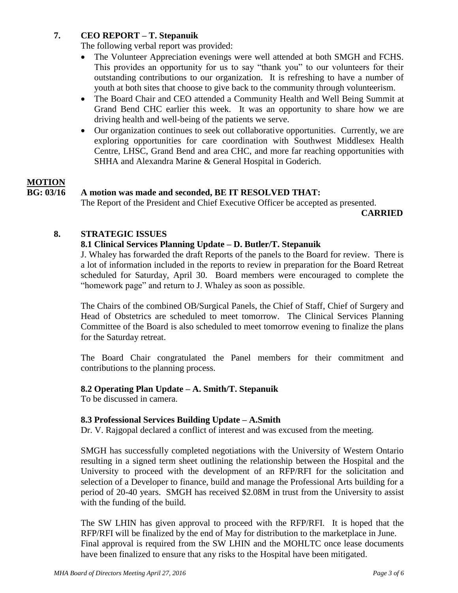# **7. CEO REPORT – T. Stepanuik**

The following verbal report was provided:

- The Volunteer Appreciation evenings were well attended at both SMGH and FCHS. This provides an opportunity for us to say "thank you" to our volunteers for their outstanding contributions to our organization. It is refreshing to have a number of youth at both sites that choose to give back to the community through volunteerism.
- The Board Chair and CEO attended a Community Health and Well Being Summit at Grand Bend CHC earlier this week. It was an opportunity to share how we are driving health and well-being of the patients we serve.
- Our organization continues to seek out collaborative opportunities. Currently, we are exploring opportunities for care coordination with Southwest Middlesex Health Centre, LHSC, Grand Bend and area CHC, and more far reaching opportunities with SHHA and Alexandra Marine & General Hospital in Goderich.

# **MOTION**

# **BG: 03/16 A motion was made and seconded, BE IT RESOLVED THAT:**

The Report of the President and Chief Executive Officer be accepted as presented.

 **CARRIED**

# **8. STRATEGIC ISSUES**

# **8.1 Clinical Services Planning Update – D. Butler/T. Stepanuik**

J. Whaley has forwarded the draft Reports of the panels to the Board for review. There is a lot of information included in the reports to review in preparation for the Board Retreat scheduled for Saturday, April 30. Board members were encouraged to complete the "homework page" and return to J. Whaley as soon as possible.

The Chairs of the combined OB/Surgical Panels, the Chief of Staff, Chief of Surgery and Head of Obstetrics are scheduled to meet tomorrow. The Clinical Services Planning Committee of the Board is also scheduled to meet tomorrow evening to finalize the plans for the Saturday retreat.

The Board Chair congratulated the Panel members for their commitment and contributions to the planning process.

# **8.2 Operating Plan Update – A. Smith/T. Stepanuik**

To be discussed in camera.

# **8.3 Professional Services Building Update – A.Smith**

Dr. V. Rajgopal declared a conflict of interest and was excused from the meeting.

SMGH has successfully completed negotiations with the University of Western Ontario resulting in a signed term sheet outlining the relationship between the Hospital and the University to proceed with the development of an RFP/RFI for the solicitation and selection of a Developer to finance, build and manage the Professional Arts building for a period of 20-40 years. SMGH has received \$2.08M in trust from the University to assist with the funding of the build.

The SW LHIN has given approval to proceed with the RFP/RFI. It is hoped that the RFP/RFI will be finalized by the end of May for distribution to the marketplace in June. Final approval is required from the SW LHIN and the MOHLTC once lease documents have been finalized to ensure that any risks to the Hospital have been mitigated.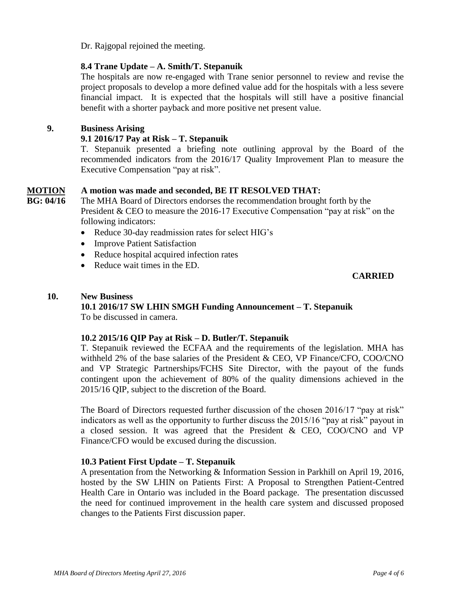Dr. Rajgopal rejoined the meeting.

#### **8.4 Trane Update – A. Smith/T. Stepanuik**

The hospitals are now re-engaged with Trane senior personnel to review and revise the project proposals to develop a more defined value add for the hospitals with a less severe financial impact. It is expected that the hospitals will still have a positive financial benefit with a shorter payback and more positive net present value.

#### **9. Business Arising**

### **9.1 2016/17 Pay at Risk – T. Stepanuik**

T. Stepanuik presented a briefing note outlining approval by the Board of the recommended indicators from the 2016/17 Quality Improvement Plan to measure the Executive Compensation "pay at risk".

#### **MOTION A motion was made and seconded, BE IT RESOLVED THAT:**

**BG: 04/16** The MHA Board of Directors endorses the recommendation brought forth by the President & CEO to measure the 2016-17 Executive Compensation "pay at risk" on the following indicators:

- Reduce 30-day readmission rates for select HIG's
- Improve Patient Satisfaction
- Reduce hospital acquired infection rates
- Reduce wait times in the ED.

#### **CARRIED**

#### **10. New Business**

#### **10.1 2016/17 SW LHIN SMGH Funding Announcement – T. Stepanuik**

To be discussed in camera.

#### **10.2 2015/16 QIP Pay at Risk – D. Butler/T. Stepanuik**

T. Stepanuik reviewed the ECFAA and the requirements of the legislation. MHA has withheld 2% of the base salaries of the President & CEO, VP Finance/CFO, COO/CNO and VP Strategic Partnerships/FCHS Site Director, with the payout of the funds contingent upon the achievement of 80% of the quality dimensions achieved in the 2015/16 QIP, subject to the discretion of the Board.

The Board of Directors requested further discussion of the chosen 2016/17 "pay at risk" indicators as well as the opportunity to further discuss the 2015/16 "pay at risk" payout in a closed session. It was agreed that the President & CEO, COO/CNO and VP Finance/CFO would be excused during the discussion.

#### **10.3 Patient First Update – T. Stepanuik**

A presentation from the Networking & Information Session in Parkhill on April 19, 2016, hosted by the SW LHIN on Patients First: A Proposal to Strengthen Patient-Centred Health Care in Ontario was included in the Board package. The presentation discussed the need for continued improvement in the health care system and discussed proposed changes to the Patients First discussion paper.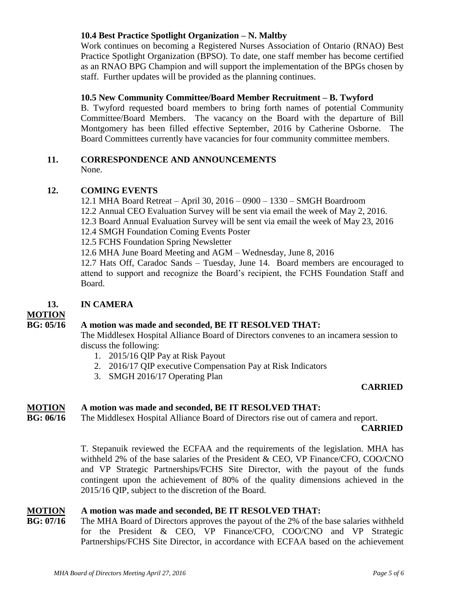#### **10.4 Best Practice Spotlight Organization – N. Maltby**

Work continues on becoming a Registered Nurses Association of Ontario (RNAO) Best Practice Spotlight Organization (BPSO). To date, one staff member has become certified as an RNAO BPG Champion and will support the implementation of the BPGs chosen by staff. Further updates will be provided as the planning continues.

#### **10.5 New Community Committee/Board Member Recruitment – B. Twyford**

B. Twyford requested board members to bring forth names of potential Community Committee/Board Members. The vacancy on the Board with the departure of Bill Montgomery has been filled effective September, 2016 by Catherine Osborne. The Board Committees currently have vacancies for four community committee members.

#### **11. CORRESPONDENCE AND ANNOUNCEMENTS**

None.

#### **12. COMING EVENTS**

12.1 MHA Board Retreat – April 30, 2016 – 0900 – 1330 – SMGH Boardroom 12.2 Annual CEO Evaluation Survey will be sent via email the week of May 2, 2016.

12.3 Board Annual Evaluation Survey will be sent via email the week of May 23, 2016

12.4 SMGH Foundation Coming Events Poster

12.5 FCHS Foundation Spring Newsletter

12.6 MHA June Board Meeting and AGM – Wednesday, June 8, 2016

12.7 Hats Off, Caradoc Sands – Tuesday, June 14. Board members are encouraged to attend to support and recognize the Board's recipient, the FCHS Foundation Staff and Board.

#### **13. IN CAMERA**

**MOTION** 

#### **BG: 05/16 A motion was made and seconded, BE IT RESOLVED THAT:**

The Middlesex Hospital Alliance Board of Directors convenes to an incamera session to discuss the following:

- 1. 2015/16 QIP Pay at Risk Payout
- 2. 2016/17 QIP executive Compensation Pay at Risk Indicators
- 3. SMGH 2016/17 Operating Plan

#### **CARRIED**

#### **MOTION A motion was made and seconded, BE IT RESOLVED THAT:**

**BG: 06/16** The Middlesex Hospital Alliance Board of Directors rise out of camera and report.

#### **CARRIED**

T. Stepanuik reviewed the ECFAA and the requirements of the legislation. MHA has withheld 2% of the base salaries of the President & CEO, VP Finance/CFO, COO/CNO and VP Strategic Partnerships/FCHS Site Director, with the payout of the funds contingent upon the achievement of 80% of the quality dimensions achieved in the 2015/16 QIP, subject to the discretion of the Board.

# **MOTION** A motion was made and seconded, BE IT RESOLVED THAT:<br> **RG**: 07/16 The MHA Board of Directors approves the payout of the 2% of the

The MHA Board of Directors approves the payout of the 2% of the base salaries withheld for the President & CEO, VP Finance/CFO, COO/CNO and VP Strategic Partnerships/FCHS Site Director, in accordance with ECFAA based on the achievement